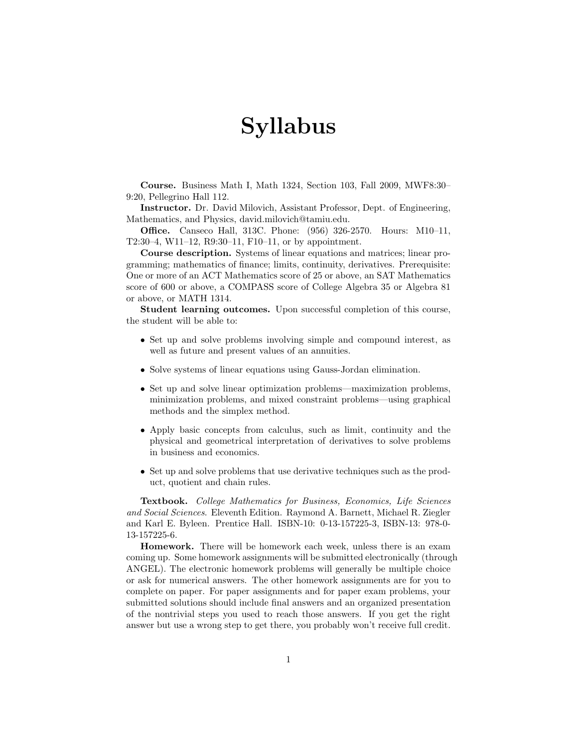## Syllabus

Course. Business Math I, Math 1324, Section 103, Fall 2009, MWF8:30– 9:20, Pellegrino Hall 112.

Instructor. Dr. David Milovich, Assistant Professor, Dept. of Engineering, Mathematics, and Physics, david.milovich@tamiu.edu.

Office. Canseco Hall, 313C. Phone: (956) 326-2570. Hours: M10–11, T2:30–4, W11–12, R9:30–11, F10–11, or by appointment.

Course description. Systems of linear equations and matrices; linear programming; mathematics of finance; limits, continuity, derivatives. Prerequisite: One or more of an ACT Mathematics score of 25 or above, an SAT Mathematics score of 600 or above, a COMPASS score of College Algebra 35 or Algebra 81 or above, or MATH 1314.

Student learning outcomes. Upon successful completion of this course, the student will be able to:

- Set up and solve problems involving simple and compound interest, as well as future and present values of an annuities.
- Solve systems of linear equations using Gauss-Jordan elimination.
- Set up and solve linear optimization problems—maximization problems, minimization problems, and mixed constraint problems—using graphical methods and the simplex method.
- Apply basic concepts from calculus, such as limit, continuity and the physical and geometrical interpretation of derivatives to solve problems in business and economics.
- Set up and solve problems that use derivative techniques such as the product, quotient and chain rules.

Textbook. College Mathematics for Business, Economics, Life Sciences and Social Sciences. Eleventh Edition. Raymond A. Barnett, Michael R. Ziegler and Karl E. Byleen. Prentice Hall. ISBN-10: 0-13-157225-3, ISBN-13: 978-0- 13-157225-6.

Homework. There will be homework each week, unless there is an exam coming up. Some homework assignments will be submitted electronically (through ANGEL). The electronic homework problems will generally be multiple choice or ask for numerical answers. The other homework assignments are for you to complete on paper. For paper assignments and for paper exam problems, your submitted solutions should include final answers and an organized presentation of the nontrivial steps you used to reach those answers. If you get the right answer but use a wrong step to get there, you probably won't receive full credit.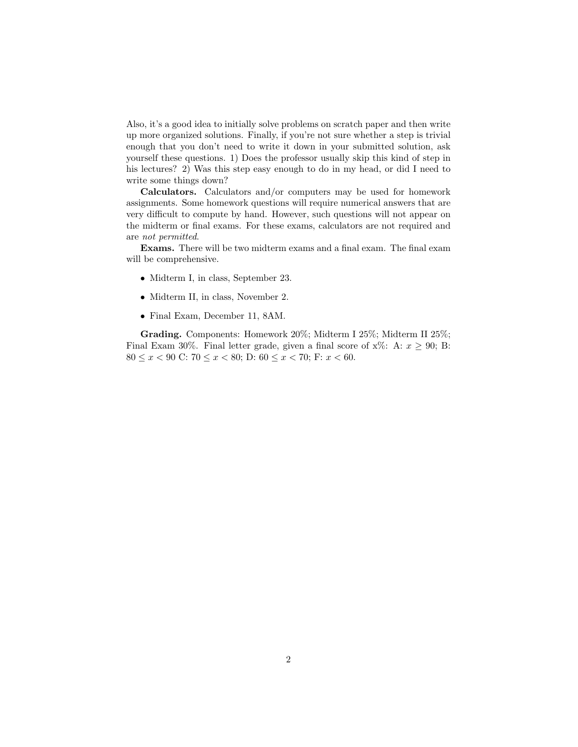Also, it's a good idea to initially solve problems on scratch paper and then write up more organized solutions. Finally, if you're not sure whether a step is trivial enough that you don't need to write it down in your submitted solution, ask yourself these questions. 1) Does the professor usually skip this kind of step in his lectures? 2) Was this step easy enough to do in my head, or did I need to write some things down?

Calculators. Calculators and/or computers may be used for homework assignments. Some homework questions will require numerical answers that are very difficult to compute by hand. However, such questions will not appear on the midterm or final exams. For these exams, calculators are not required and are not permitted.

Exams. There will be two midterm exams and a final exam. The final exam will be comprehensive.

- Midterm I, in class, September 23.
- Midterm II, in class, November 2.
- Final Exam, December 11, 8AM.

Grading. Components: Homework 20%; Midterm I 25%; Midterm II 25%; Final Exam 30%. Final letter grade, given a final score of  $x\%$ : A:  $x \ge 90$ ; B: 80  $\leq x < 90$  C:  $70 \leq x < 80$ ; D:  $60 \leq x < 70$ ; F:  $x < 60$ .